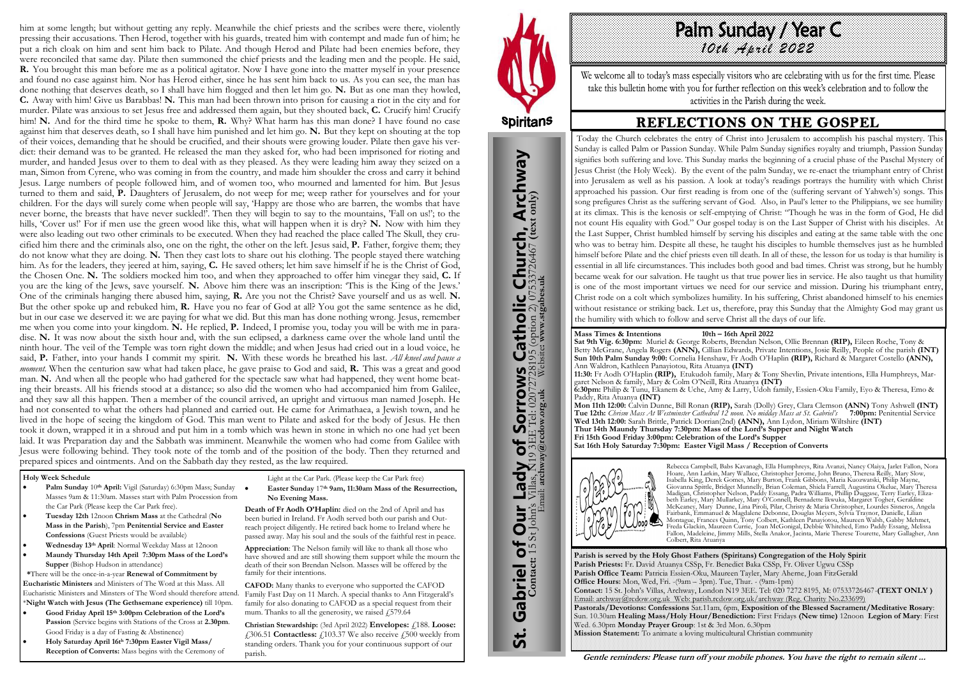#### **Holy Week Schedule**

- **Palm Sunday** 10**th April:** Vigil (Saturday) 6:30pm Mass; Sunday Masses 9am & 11:30am. Masses start with Palm Procession from the Car Park (Please keep the Car Park free).
- **Tuesday 12th** 12noon **Chrism Mass** at the Cathedral (**No Mass in the Parish**), 7pm **Penitential Service and Easter Confessions** (Guest Priests would be available)
- **Wednesday 13th April**: Normal Weekday Mass at 12noon
- **Maundy Thursday 14th April 7:30pm Mass of the Lord's Supper** (Bishop Hudson in attendance)

 **\***There will be the once-in-a-year **Renewal of Commitment by Eucharistic Ministers** and Ministers of The Word at this Mass. All Eucharistic Ministers and Minsters of The Word should therefore attend. \***Night Watch with Jesus (The Gethsemane experience)** till 10pm.

**CAFOD:** Many thanks to everyone who supported the CAFOD Family Fast Day on 11 March. A special thanks to Ann Fitzgerald's family for also donating to CAFOD as a special request from their mum. Thanks to all the generosity, we raised  $£579.64$ 

- **Good Friday April 15th 3:00pm Celebration of the Lord's Passion** (Service begins with Stations of the Cross at **2.30pm**. Good Friday is a day of Fasting & Abstinence)
- **Holy Saturday April 16t<sup>h</sup> 7:30pm Easter Vigil Mass/ Reception of Converts:** Mass begins with the Ceremony of

Light at the Car Park. (Please keep the Car Park free)

 **Easter Sunday** 17**th 9am, 11:30am Mass of the Resurrection, No Evening Mass.**

**Death of Fr Aodh O'Haplin:** died on the 2nd of April and has been buried in Ireland. Fr Aodh served both our parish and Outreach project diligently. He retired back home to Ireland where he passed away. May his soul and the souls of the faithful rest in peace.

**Appreciation**: The Nelson family will like to thank all those who have showed and are still showing them support while the mourn the death of their son Brendan Nelson. Masses will be offered by the family for their intentions.

**Christian Stewardship:** (3rd April 2022) **Envelopes:** £188. **Loose:**  £306.51 **Contactless:** £103.37 We also receive £500 weekly from standing orders. Thank you for your continuous support of our parish.



## **Spiritans**

**Raim Sunclay/Near G** *10th April 2022*

We welcome all to today's mass especially visitors who are celebrating with us for the first time. Please take this bulletin home with you for further reflection on this week's celebration and to follow the activities in the Parish during the week.

# **REFLECTIONS ON THE GOSPEL**

him at some length; but without getting any reply. Meanwhile the chief priests and the scribes were there, violently pressing their accusations. Then Herod, together with his guards, treated him with contempt and made fun of him; he put a rich cloak on him and sent him back to Pilate. And though Herod and Pilate had been enemies before, they were reconciled that same day. Pilate then summoned the chief priests and the leading men and the people. He said, **R.** You brought this man before me as a political agitator. Now I have gone into the matter myself in your presence and found no case against him. Nor has Herod either, since he has sent him back to us. As you can see, the man has done nothing that deserves death, so I shall have him flogged and then let him go. **N.** But as one man they howled, **C.** Away with him! Give us Barabbas! **N.** This man had been thrown into prison for causing a riot in the city and for murder. Pilate was anxious to set Jesus free and addressed them again, but they shouted back, **C.** Crucify him! Crucify him! **N.** And for the third time he spoke to them, **R.** Why? What harm has this man done? I have found no case against him that deserves death, so I shall have him punished and let him go. **N.** But they kept on shouting at the top of their voices, demanding that he should be crucified, and their shouts were growing louder. Pilate then gave his verdict: their demand was to be granted. He released the man they asked for, who had been imprisoned for rioting and murder, and handed Jesus over to them to deal with as they pleased. As they were leading him away they seized on a man, Simon from Cyrene, who was coming in from the country, and made him shoulder the cross and carry it behind Jesus. Large numbers of people followed him, and of women too, who mourned and lamented for him. But Jesus turned to them and said, **P.** Daughters of Jerusalem, do not weep for me; weep rather for yourselves and for your children. For the days will surely come when people will say, 'Happy are those who are barren, the wombs that have never borne, the breasts that have never suckled!'. Then they will begin to say to the mountains, 'Fall on us!'; to the hills, 'Cover us!' For if men use the green wood like this, what will happen when it is dry? **N.** Now with him they were also leading out two other criminals to be executed. When they had reached the place called The Skull, they crucified him there and the criminals also, one on the right, the other on the left. Jesus said, **P.** Father, forgive them; they do not know what they are doing. **N.** Then they cast lots to share out his clothing. The people stayed there watching him. As for the leaders, they jeered at him, saying, **C.** He saved others; let him save himself if he is the Christ of God, the Chosen One. **N.** The soldiers mocked him too, and when they approached to offer him vinegar they said, **C.** If you are the king of the Jews, save yourself. **N.** Above him there was an inscription: 'This is the King of the Jews.' One of the criminals hanging there abused him, saying, **R.** Are you not the Christ? Save yourself and us as well. **N.** But the other spoke up and rebuked him, **R.** Have you no fear of God at all? You got the same sentence as he did, but in our case we deserved it: we are paying for what we did. But this man has done nothing wrong. Jesus, remember me when you come into your kingdom. **N.** He replied, **P.** Indeed, I promise you, today you will be with me in paradise. **N.** It was now about the sixth hour and, with the sun eclipsed, a darkness came over the whole land until the ninth hour. The veil of the Temple was torn right down the middle; and when Jesus had cried out in a loud voice, he said, **P.** Father, into your hands I commit my spirit. **N.** With these words he breathed his last. *All kneel and pause a moment*. When the centurion saw what had taken place, he gave praise to God and said, **R.** This was a great and good man. **N.** And when all the people who had gathered for the spectacle saw what had happened, they went home beating their breasts. All his friends stood at a distance; so also did the women who had accompanied him from Galilee, and they saw all this happen. Then a member of the council arrived, an upright and virtuous man named Joseph. He had not consented to what the others had planned and carried out. He came for Arimathaea, a Jewish town, and he lived in the hope of seeing the kingdom of God. This man went to Pilate and asked for the body of Jesus. He then took it down, wrapped it in a shroud and put him in a tomb which was hewn in stone in which no one had yet been laid. It was Preparation day and the Sabbath was imminent. Meanwhile the women who had come from Galilee with Jesus were following behind. They took note of the tomb and of the position of the body. Then they returned and prepared spices and ointments. And on the Sabbath day they rested, as the law required.

**Mass Times & Intentions 10th – 16th April 2022 Sat 9th Vig. 6:30pm:** Muriel & George Roberts, Brendan Nelson, Ollie Brennan **(RIP),** Eileen Roche, Tony & Betty McGrane, Angela Rogers **(ANN),** Cillian Edwards, Private Intentions, Josie Reilly, People of the parish **(INT) Sun 10th Palm Sunday 9:00:** Cornelia Henshaw, Fr Aodh O'Haplin **(RIP),** Richard & Margaret Costello **(ANN),**  Ann Waldron, Kathleen Panayiotou, Rita Atuanya **(INT) 11:30:** Fr Aodh O'Haplin **(RIP),** Etukudoh family, Mary & Tony Shevlin, Private intentions, Ella Humphreys, Margaret Nelson & family, Mary & Colm O'Neill, Rita Atuanya **(INT) 6:30pm:** Philip & Tunu, Ekanem & Uche, Amy & Larry, Udoh family, Essien-Oku Family, Eyo & Theresa, Emo & Paddy, Rita Atuanya **(INT)**

**Mon 11th 12:00:** Calvin Dunne, Bill Ronan **(RIP),** Sarah (Dolly) Grey, Clara Clemson **(ANN)** Tony Ashwell **(INT) Tue 12th:** *Chrism Mass At Westminster Cathedral 12 noon. No midday Mass at St. Gabriel's* **7:00pm:** Penitential Service **Wed 13th 12:00:** Sarah Brittle, Patrick Dorrian(2nd) **(ANN),** Ann Lydon, Miriam Wiltshire **(INT) Thur 14th Maundy Thursday 7:30pm: Mass of the Lord's Supper and Night Watch Fri 15th Good Friday 3:00pm: Celebration of the Lord's Supper Sat 16th Holy Saturday 7:30pm: Easter Vigil Mass / Reception of Converts**



Rebecca Campbell, Babs Kavanagh, Ella Humphreys, Rita Avanzi, Nancy Olaiya, Jarlet Fallon, Nora Hoare, Ann Larkin, Mary Wallace, Christopher Jerome, John Bruno, Theresa Reilly, Mary Slow, Isabella King, Derek Gomes, Mary Burton, Frank Gibbons, Maria Kuozwatski, Philip Mayne, Giovanna Spittle, Bridget Munnelly, Brian Coleman, Shiela Farrell, Augustina Okelue, Mary Theresa Madigan, Christopher Nelson, Paddy Essang, Padra Williams, Phillip Duggase, Terry Earley, Elizabeth Earley, Mary Mullarkey, Mary O'Connell, Bernadette Ikwuka, Margaret Togher, Geraldine McKeaney, Mary Dunne, Lina Piroli, Pilar, Christy & Maria Christopher, Lourdes Sisneros, Angela Fairbank, Emmanuel & Magdalene Debonne, Douglas Meyers, Sylvia Traynor, Danielle, Lilian Montague, Frances Quinn, Tony Colbert, Kathleen Panayiotou, Maureen Walsh, Gabby Mehmet, Freda Glackin, Maureen Currie, Joan McGonigal, Debbie Whitehed, Emo Paddy Essang, Melissa Fallon, Madeleine, Jimmy Mills, Stella Anakor, Jacinta, Marie Therese Tourette, Mary Gallagher, Ann Colbert, Rita Atuanya

Parish is served by the Holy Ghost Fathers (Spirit and Holy Congress) Parish Priests: Fr. David Atuanya CSSp, Fr. Be Parish Office Team: Patricia Essien-Oku, Mau **Office Hours:** Mon, Wed, Fri. - (9am – 3pm). T **Contact: 15 St. John's Villas, Archway, London** Email: archway@rcdow.org.uk Web: parish.rcd **Pastorals/Devotions: Confessions** Sat.11am, Sun. 10.30am **Healing Mass/Holy Hour/Ber** Wed. 6.30pm **Monday Prayer Group**: 1st & 3rd **Mission Statement:** To animate a loving multi

| Spiritans) Congregation of the Holy Spirit<br>nedict Baka CSSp, Fr. Oliver Ugwu CSSp                                                             |  |
|--------------------------------------------------------------------------------------------------------------------------------------------------|--|
| reen Tayler, Mary Aherne, Joan FitzGerald<br>ue, Thur. - (9am-1pm)                                                                               |  |
| N19 3EE. Tel: 020 7272 8195, M: 07533726467 (TEXT ONLY)<br>ow.org.uk/archway (Reg. Charity No.233699)                                            |  |
| 6pm, Exposition of the Blessed Sacrament/Meditative Rosary:<br>rediction: First Fridays (New time) 12noon Legion of Mary: First<br>1 Mon. 6.30pm |  |
| tultural Christian community                                                                                                                     |  |

**Gentle reminders: Please turn off your mobile phones. You have the right to remain silent ...**

Today the Church celebrates the entry of Christ into Jerusalem to accomplish his paschal mystery. This Sunday is called Palm or Passion Sunday. While Palm Sunday signifies royalty and triumph, Passion Sunday signifies both suffering and love. This Sunday marks the beginning of a crucial phase of the Paschal Mystery of Jesus Christ (the Holy Week). By the event of the palm Sunday, we re-enact the triumphant entry of Christ into Jerusalem as well as his passion. A look at today's readings portrays the humility with which Christ approached his passion. Our first reading is from one of the (suffering servant of Yahweh's) songs. This song prefigures Christ as the suffering servant of God. Also, in Paul's letter to the Philippians, we see humility at its climax. This is the kenosis or self-emptying of Christ: "Though he was in the form of God, He did not count His equality with God." Our gospel today is on the Last Supper of Christ with his disciples. At the Last Supper, Christ humbled himself by serving his disciples and eating at the same table with the one who was to betray him. Despite all these, he taught his disciples to humble themselves just as he humbled himself before Pilate and the chief priests even till death. In all of these, the lesson for us today is that humility is essential in all life circumstances. This includes both good and bad times. Christ was strong, but he humbly became weak for our salvation. He taught us that true power lies in service. He also taught us that humility is one of the most important virtues we need for our service and mission. During his triumphant entry, Christ rode on a colt which symbolizes humility. In his suffering, Christ abandoned himself to his enemies without resistance or striking back. Let us, therefore, pray this Sunday that the Almighty God may grant us the humility with which to follow and serve Christ all the days of our life.